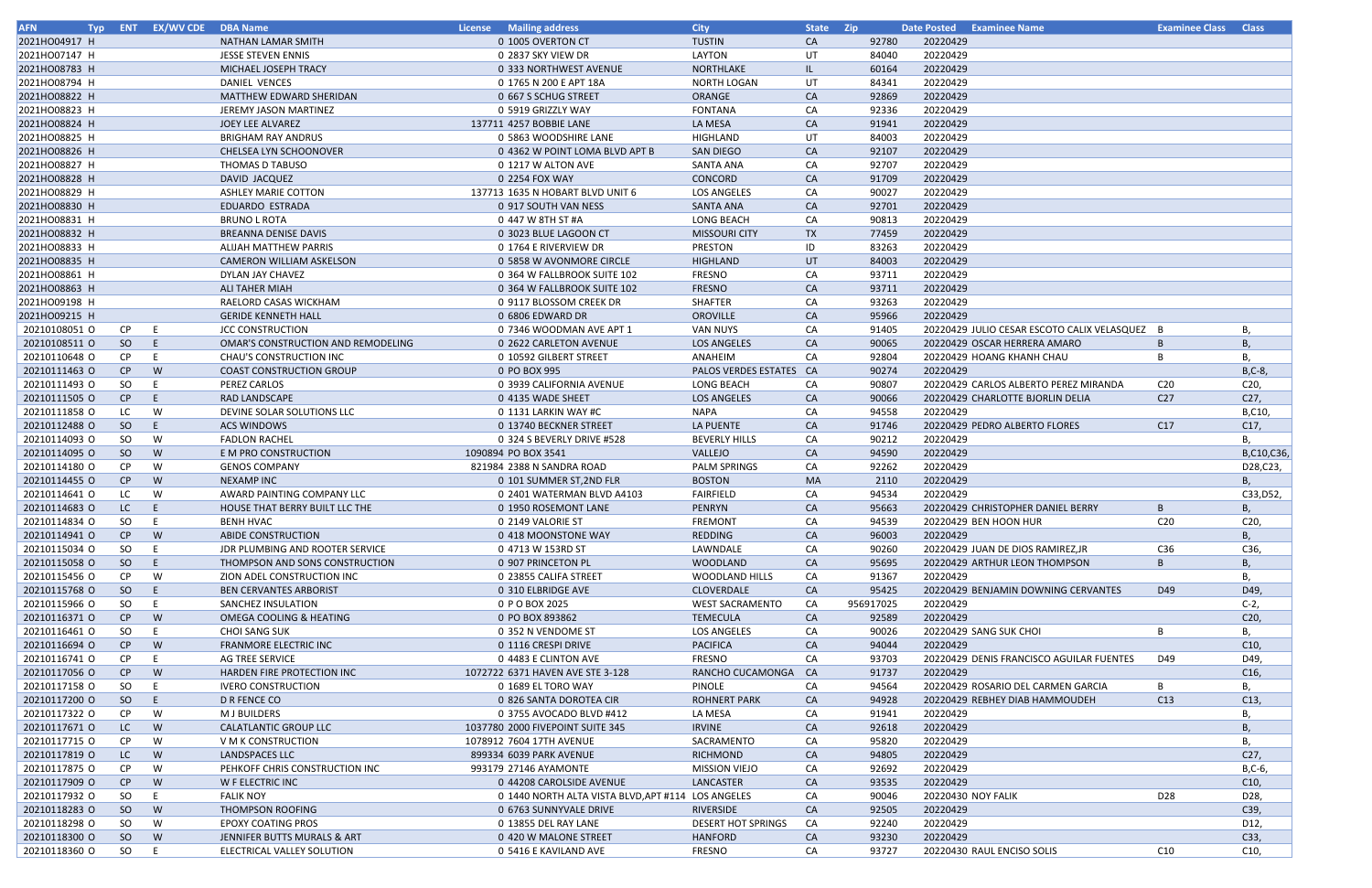| <b>AFN</b>    |           | Typ ENT EX/WV CDE DBA Name |                                    | <b>License</b> Mailing address                     | <b>City</b>               | State Zip |           |                    | Date Posted Examinee Name                     | <b>Examinee Class Class</b> |                 |
|---------------|-----------|----------------------------|------------------------------------|----------------------------------------------------|---------------------------|-----------|-----------|--------------------|-----------------------------------------------|-----------------------------|-----------------|
| 2021HO04917 H |           |                            | <b>NATHAN LAMAR SMITH</b>          | 0 1005 OVERTON CT                                  | <b>TUSTIN</b>             | CA        | 92780     | 20220429           |                                               |                             |                 |
| 2021HO07147 H |           |                            | <b>JESSE STEVEN ENNIS</b>          | 0 2837 SKY VIEW DR                                 | LAYTON                    | UT        | 84040     | 20220429           |                                               |                             |                 |
| 2021HO08783 H |           |                            | MICHAEL JOSEPH TRACY               | 0 333 NORTHWEST AVENUE                             | NORTHLAKE                 | IL.       | 60164     | 20220429           |                                               |                             |                 |
| 2021HO08794 H |           |                            | DANIEL VENCES                      | 0 1765 N 200 E APT 18A                             | <b>NORTH LOGAN</b>        | UT        | 84341     | 20220429           |                                               |                             |                 |
| 2021HO08822 H |           |                            | MATTHEW EDWARD SHERIDAN            | 0 667 S SCHUG STREET                               | ORANGE                    | <b>CA</b> | 92869     | 20220429           |                                               |                             |                 |
| 2021HO08823 H |           |                            | JEREMY JASON MARTINEZ              | 0 5919 GRIZZLY WAY                                 | <b>FONTANA</b>            | CA        | 92336     | 20220429           |                                               |                             |                 |
| 2021HO08824 H |           |                            | JOEY LEE ALVAREZ                   | 137711 4257 BOBBIE LANE                            | LA MESA                   | <b>CA</b> | 91941     | 20220429           |                                               |                             |                 |
| 2021HO08825 H |           |                            | <b>BRIGHAM RAY ANDRUS</b>          | 0 5863 WOODSHIRE LANE                              | <b>HIGHLAND</b>           | UT        | 84003     | 20220429           |                                               |                             |                 |
| 2021HO08826 H |           |                            | CHELSEA LYN SCHOONOVER             | 0 4362 W POINT LOMA BLVD APT B                     | <b>SAN DIEGO</b>          | <b>CA</b> | 92107     | 20220429           |                                               |                             |                 |
| 2021HO08827 H |           |                            | THOMAS D TABUSO                    | 0 1217 W ALTON AVE                                 | SANTA ANA                 | CA        | 92707     | 20220429           |                                               |                             |                 |
| 2021HO08828 H |           |                            | DAVID JACQUEZ                      | 0 2254 FOX WAY                                     | CONCORD                   |           | 91709     | 20220429           |                                               |                             |                 |
|               |           |                            |                                    |                                                    |                           | CA        |           |                    |                                               |                             |                 |
| 2021HO08829 H |           |                            | <b>ASHLEY MARIE COTTON</b>         | 137713 1635 N HOBART BLVD UNIT 6                   | LOS ANGELES               | CA        | 90027     | 20220429           |                                               |                             |                 |
| 2021HO08830 H |           |                            | <b>EDUARDO ESTRADA</b>             | 0 917 SOUTH VAN NESS                               | SANTA ANA                 | <b>CA</b> | 92701     | 20220429           |                                               |                             |                 |
| 2021HO08831 H |           |                            | <b>BRUNO L ROTA</b>                | 0 447 W 8TH ST #A                                  | <b>LONG BEACH</b>         | CA        | 90813     | 20220429           |                                               |                             |                 |
| 2021HO08832 H |           |                            | <b>BREANNA DENISE DAVIS</b>        | 0 3023 BLUE LAGOON CT                              | <b>MISSOURI CITY</b>      | TX        | 77459     | 20220429           |                                               |                             |                 |
| 2021HO08833 H |           |                            | ALIJAH MATTHEW PARRIS              | 0 1764 E RIVERVIEW DR                              | <b>PRESTON</b>            | ID        | 83263     | 20220429           |                                               |                             |                 |
| 2021HO08835 H |           |                            | CAMERON WILLIAM ASKELSON           | 0 5858 W AVONMORE CIRCLE                           | <b>HIGHLAND</b>           | UT        | 84003     | 20220429           |                                               |                             |                 |
| 2021HO08861 H |           |                            | DYLAN JAY CHAVEZ                   | 0 364 W FALLBROOK SUITE 102                        | <b>FRESNO</b>             | CA        | 93711     | 20220429           |                                               |                             |                 |
| 2021HO08863 H |           |                            | <b>ALI TAHER MIAH</b>              | 0 364 W FALLBROOK SUITE 102                        | <b>FRESNO</b>             | <b>CA</b> | 93711     | 20220429           |                                               |                             |                 |
| 2021HO09198 H |           |                            | RAELORD CASAS WICKHAM              | 0 9117 BLOSSOM CREEK DR                            | <b>SHAFTER</b>            | CA        | 93263     | 20220429           |                                               |                             |                 |
| 2021HO09215 H |           |                            | <b>GERIDE KENNETH HALL</b>         | 0 6806 EDWARD DR                                   | OROVILLE                  | <b>CA</b> | 95966     | 20220429           |                                               |                             |                 |
| 20210108051 O | <b>CP</b> | E                          | <b>JCC CONSTRUCTION</b>            | 0 7346 WOODMAN AVE APT 1                           | VAN NUYS                  | CA        | 91405     |                    | 20220429 JULIO CESAR ESCOTO CALIX VELASQUEZ B |                             | В,              |
| 20210108511 O | SO        | E.                         | OMAR'S CONSTRUCTION AND REMODELING | 0 2622 CARLETON AVENUE                             | LOS ANGELES               | CA        | 90065     |                    | 20220429 OSCAR HERRERA AMARO                  | B                           | В,              |
| 20210110648 O | CP.       |                            | <b>CHAU'S CONSTRUCTION INC</b>     | 0 10592 GILBERT STREET                             | ANAHEIM                   | CA        | 92804     |                    | 20220429 HOANG KHANH CHAU                     |                             | В,              |
| 20210111463 O | CP        | W                          | <b>COAST CONSTRUCTION GROUP</b>    | 0 PO BOX 995                                       | PALOS VERDES ESTATES CA   |           | 90274     | 20220429           |                                               |                             | $B, C-8$        |
| 20210111493 O | SO        | E.                         | PEREZ CARLOS                       | 0 3939 CALIFORNIA AVENUE                           | LONG BEACH                | CA        | 90807     |                    | 20220429 CARLOS ALBERTO PEREZ MIRANDA         | C <sub>20</sub>             | C20,            |
| 20210111505 O | CP        | E                          | <b>RAD LANDSCAPE</b>               | 0 4135 WADE SHEET                                  | LOS ANGELES               | CA        | 90066     |                    | 20220429 CHARLOTTE BJORLIN DELIA              | C <sub>27</sub>             | C27,            |
| 20210111858 O | LC.       | W                          | DEVINE SOLAR SOLUTIONS LLC         | 0 1131 LARKIN WAY #C                               | NAPA                      | CA        | 94558     | 20220429           |                                               |                             | B,C10,          |
| 20210112488 O | SO        | E.                         | ACS WINDOWS                        | 0 13740 BECKNER STREET                             | LA PUENTE                 | <b>CA</b> | 91746     |                    | 20220429 PEDRO ALBERTO FLORES                 | C17                         | C17,            |
| 20210114093 O | SO.       | W                          | <b>FADLON RACHEL</b>               | 0 324 S BEVERLY DRIVE #528                         | <b>BEVERLY HILLS</b>      | CA        | 90212     | 20220429           |                                               |                             | В,              |
| 20210114095 O | SO        | W                          | E M PRO CONSTRUCTION               | 1090894 PO BOX 3541                                | VALLEJO                   | <b>CA</b> | 94590     | 20220429           |                                               |                             | B,C10,C36,      |
| 20210114180 O | <b>CP</b> | W                          |                                    | 821984 2388 N SANDRA ROAD                          |                           |           | 92262     | 20220429           |                                               |                             | D28, C23,       |
|               |           |                            | <b>GENOS COMPANY</b>               |                                                    | PALM SPRINGS              | CA        |           |                    |                                               |                             |                 |
| 20210114455 O | CP        | W                          | <b>NEXAMP INC</b>                  | 0 101 SUMMER ST, 2ND FLR                           | <b>BOSTON</b>             | <b>MA</b> | 2110      | 20220429           |                                               |                             | В,              |
| 20210114641 O | LC        | W                          | AWARD PAINTING COMPANY LLC         | 0 2401 WATERMAN BLVD A4103                         | <b>FAIRFIELD</b>          | CA        | 94534     | 20220429           |                                               |                             | C33, D52,       |
| 20210114683 O | LC        | E.                         | HOUSE THAT BERRY BUILT LLC THE     | 0 1950 ROSEMONT LANE                               | <b>PENRYN</b>             | CA        | 95663     |                    | 20220429 CHRISTOPHER DANIEL BERRY             | B                           | В,              |
| 20210114834 O | SO.       |                            | <b>BENH HVAC</b>                   | 0 2149 VALORIE ST                                  | <b>FREMONT</b>            | CA        | 94539     |                    | 20220429 BEN HOON HUR                         | C <sub>20</sub>             | C20,            |
| 20210114941 O | CP        | W                          | ABIDE CONSTRUCTION                 | 0 418 MOONSTONE WAY                                | <b>REDDING</b>            | CA        | 96003     | 20220429           |                                               |                             | В,              |
| 20210115034 O | SO        | E.                         | JDR PLUMBING AND ROOTER SERVICE    | 0 4713 W 153RD ST                                  | LAWNDALE                  | CA        | 90260     |                    | 20220429 JUAN DE DIOS RAMIREZ, JR             | C36                         | C36,            |
| 20210115058 O | SO        | E.                         | THOMPSON AND SONS CONSTRUCTION     | 0 907 PRINCETON PL                                 | <b>WOODLAND</b>           | <b>CA</b> | 95695     |                    | 20220429 ARTHUR LEON THOMPSON                 | B                           | В,              |
| 20210115456 O | CP.       | W                          | ZION ADEL CONSTRUCTION INC         | 0 23855 CALIFA STREET                              | <b>WOODLAND HILLS</b>     | CA        | 91367     | 20220429           |                                               |                             | В,              |
| 20210115768 O | SO        | E.                         | <b>BEN CERVANTES ARBORIST</b>      | 0 310 ELBRIDGE AVE                                 | <b>CLOVERDALE</b>         | <b>CA</b> | 95425     |                    | 20220429 BENJAMIN DOWNING CERVANTES           | D49                         | D49,            |
| 20210115966 O | SO        | E                          | SANCHEZ INSULATION                 | 0 P O BOX 2025                                     | <b>WEST SACRAMENTO</b>    | CA        | 956917025 | 20220429           |                                               |                             | $C-2$ ,         |
| 20210116371 O | CP        | W                          | OMEGA COOLING & HEATING            | 0 PO BOX 893862                                    | TEMECULA                  | CA        | 92589     | 20220429           |                                               |                             | C <sub>20</sub> |
| 20210116461 O | SO        | E                          | <b>CHOI SANG SUK</b>               | 0 352 N VENDOME ST                                 | LOS ANGELES               | CA        | 90026     |                    | 20220429 SANG SUK CHOI                        | B                           | В,              |
| 20210116694 O | CP        | W                          | FRANMORE ELECTRIC INC              | 0 1116 CRESPI DRIVE                                | <b>PACIFICA</b>           | CA        | 94044     | 20220429           |                                               |                             | C10,            |
| 20210116741 O | CP        | E                          | AG TREE SERVICE                    | 0 4483 E CLINTON AVE                               | <b>FRESNO</b>             | CA        | 93703     |                    | 20220429 DENIS FRANCISCO AGUILAR FUENTES      | D49                         | D49,            |
| 20210117056 O | CP        | W                          | HARDEN FIRE PROTECTION INC         | 1072722 6371 HAVEN AVE STE 3-128                   | RANCHO CUCAMONGA CA       |           | 91737     | 20220429           |                                               |                             | C16,            |
| 20210117158 O | SO        |                            | <b>IVERO CONSTRUCTION</b>          | 0 1689 EL TORO WAY                                 | <b>PINOLE</b>             | CA        | 94564     |                    | 20220429 ROSARIO DEL CARMEN GARCIA            | B                           | В,              |
| 20210117200 O | SO        | E.                         | D R FENCE CO                       | 0 826 SANTA DOROTEA CIR                            | <b>ROHNERT PARK</b>       | <b>CA</b> | 94928     |                    | 20220429 REBHEY DIAB HAMMOUDEH                | C13                         | C13,            |
| 20210117322 0 | CP.       | W                          | M J BUILDERS                       | 0 3755 AVOCADO BLVD #412                           | LA MESA                   | CA        | 91941     | 20220429           |                                               |                             | В,              |
| 20210117671 0 | LC.       | W                          | CALATLANTIC GROUP LLC              | 1037780 2000 FIVEPOINT SUITE 345                   | <b>IRVINE</b>             | CA        | 92618     | 20220429           |                                               |                             |                 |
|               |           |                            |                                    |                                                    |                           |           |           |                    |                                               |                             | В,              |
| 20210117715 O | CP.       | W                          | V M K CONSTRUCTION                 | 1078912 7604 17TH AVENUE                           | SACRAMENTO                | CA        | 95820     | 20220429           |                                               |                             | В,              |
| 20210117819 O | LC.       | W                          | LANDSPACES LLC                     | 899334 6039 PARK AVENUE                            | <b>RICHMOND</b>           | CA        | 94805     | 20220429           |                                               |                             | C27,            |
| 20210117875 O | CP        | W                          | PEHKOFF CHRIS CONSTRUCTION INC     | 993179 27146 AYAMONTE                              | <b>MISSION VIEJO</b>      | CA        | 92692     | 20220429           |                                               |                             | B,C-6,          |
| 20210117909 O | CP        | W                          | W F ELECTRIC INC                   | 0 44208 CAROLSIDE AVENUE                           | LANCASTER                 | <b>CA</b> | 93535     | 20220429           |                                               |                             | C10,            |
| 20210117932 O | SO.       | E.                         | <b>FALIK NOY</b>                   | 0 1440 NORTH ALTA VISTA BLVD, APT #114 LOS ANGELES |                           | CA        | 90046     | 20220430 NOY FALIK |                                               | D28                         | D28,            |
| 20210118283 O | SO        | W                          | THOMPSON ROOFING                   | 0 6763 SUNNYVALE DRIVE                             | RIVERSIDE                 | CA        | 92505     | 20220429           |                                               |                             | C39,            |
| 20210118298 O | SO        | W                          | <b>EPOXY COATING PROS</b>          | 0 13855 DEL RAY LANE                               | <b>DESERT HOT SPRINGS</b> | CA        | 92240     | 20220429           |                                               |                             | D12,            |
| 20210118300 O | SO        | W                          | JENNIFER BUTTS MURALS & ART        | 0 420 W MALONE STREET                              | <b>HANFORD</b>            | CA        | 93230     | 20220429           |                                               |                             | C33,            |
| 20210118360 O | SO        | E                          | ELECTRICAL VALLEY SOLUTION         | 0 5416 E KAVILAND AVE                              | <b>FRESNO</b>             | CA        | 93727     |                    | 20220430 RAUL ENCISO SOLIS                    | C10                         | C <sub>10</sub> |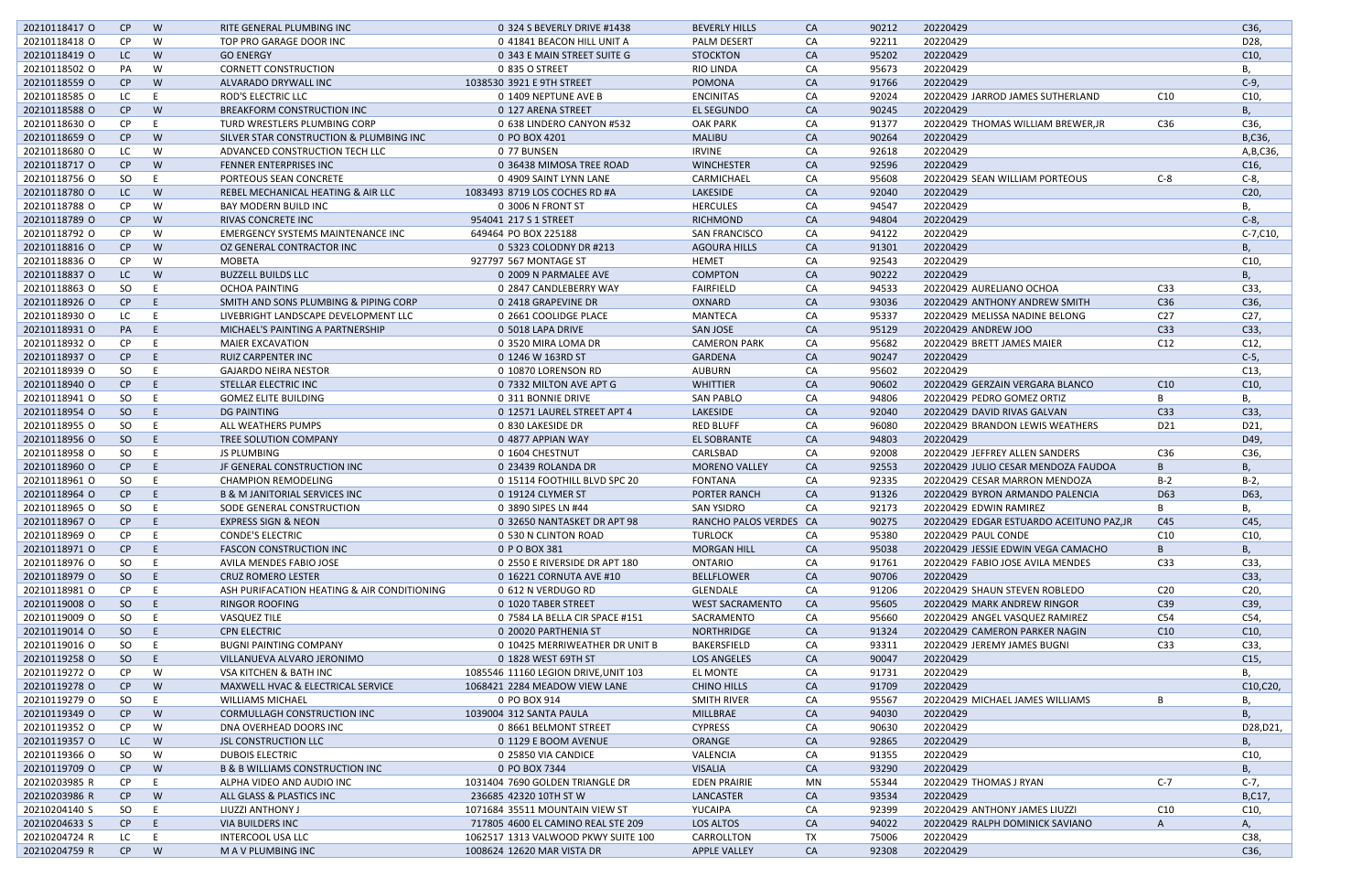| 20210118417 O | CP        | W  | RITE GENERAL PLUMBING INC                   | 0 324 S BEVERLY DRIVE #1438          | <b>BEVERLY HILLS</b>   | CA        | 90212 | 20220429                                 |                        | C36,            |
|---------------|-----------|----|---------------------------------------------|--------------------------------------|------------------------|-----------|-------|------------------------------------------|------------------------|-----------------|
| 20210118418 O | <b>CP</b> | W  | TOP PRO GARAGE DOOR INC                     | 0 41841 BEACON HILL UNIT A           | <b>PALM DESERT</b>     | CA        | 92211 | 20220429                                 |                        | D28,            |
| 20210118419 O | LC        | W  | <b>GO ENERGY</b>                            | 0 343 E MAIN STREET SUITE G          | <b>STOCKTON</b>        | CA        | 95202 | 20220429                                 |                        | C10,            |
| 20210118502 O | PA        | W  | <b>CORNETT CONSTRUCTION</b>                 | 0 835 O STREET                       | RIO LINDA              | CA        | 95673 | 20220429                                 |                        | В,              |
| 20210118559 O | CP        | W  | ALVARADO DRYWALL INC                        | 1038530 3921 E 9TH STREET            | POMONA                 | <b>CA</b> | 91766 | 20220429                                 |                        | $C-9$ ,         |
| 20210118585 O | LC.       |    | ROD'S ELECTRIC LLC                          | 0 1409 NEPTUNE AVE B                 | <b>ENCINITAS</b>       | CA        | 92024 | 20220429 JARROD JAMES SUTHERLAND         | C <sub>10</sub>        | C10             |
| 20210118588 O | CP        | W  | <b>BREAKFORM CONSTRUCTION INC</b>           | 0 127 ARENA STREET                   | <b>EL SEGUNDO</b>      | <b>CA</b> | 90245 | 20220429                                 |                        | В,              |
| 20210118630 O | <b>CP</b> |    | TURD WRESTLERS PLUMBING CORP                | 0 638 LINDERO CANYON #532            | <b>OAK PARK</b>        | CA        | 91377 | 20220429 THOMAS WILLIAM BREWER, JR       | C36                    | C36,            |
| 20210118659 O | CP        | W  | SILVER STAR CONSTRUCTION & PLUMBING INC     | 0 PO BOX 4201                        | <b>MALIBU</b>          | <b>CA</b> | 90264 | 20220429                                 |                        | B,C36,          |
| 20210118680 O | LC        | W  | ADVANCED CONSTRUCTION TECH LLC              | 0 77 BUNSEN                          | <b>IRVINE</b>          | CA        | 92618 | 20220429                                 |                        | A, B, C36,      |
| 20210118717 O | CP        | W  | FENNER ENTERPRISES INC                      | 0 36438 MIMOSA TREE ROAD             | <b>WINCHESTER</b>      | CA        | 92596 | 20220429                                 |                        |                 |
|               |           |    |                                             |                                      |                        |           |       |                                          |                        | C <sub>16</sub> |
| 20210118756 O | SO        |    | PORTEOUS SEAN CONCRETE                      | 0 4909 SAINT LYNN LANE               | CARMICHAEL             | CA        | 95608 | 20220429 SEAN WILLIAM PORTEOUS           | $C-8$                  | $C-8$ ,         |
| 20210118780 O | LC.       | W  | REBEL MECHANICAL HEATING & AIR LLC          | 1083493 8719 LOS COCHES RD #A        | <b>LAKESIDE</b>        | <b>CA</b> | 92040 | 20220429                                 |                        | C20,            |
| 20210118788 O | <b>CP</b> | W  | <b>BAY MODERN BUILD INC</b>                 | 0 3006 N FRONT ST                    | <b>HERCULES</b>        | CA        | 94547 | 20220429                                 |                        | В,              |
| 20210118789 O | CP        | W  | RIVAS CONCRETE INC                          | 954041 217 S 1 STREET                | <b>RICHMOND</b>        | CA        | 94804 | 20220429                                 |                        | $C-8$ ,         |
| 20210118792 O | <b>CP</b> | W  | <b>EMERGENCY SYSTEMS MAINTENANCE INC</b>    | 649464 PO BOX 225188                 | <b>SAN FRANCISCO</b>   | CA        | 94122 | 20220429                                 |                        | C-7,C10,        |
| 20210118816 O | CP        | W  | OZ GENERAL CONTRACTOR INC                   | 0 5323 COLODNY DR #213               | <b>AGOURA HILLS</b>    | CA        | 91301 | 20220429                                 |                        | В,              |
| 20210118836 O | <b>CP</b> | W  | MOBETA                                      | 927797 567 MONTAGE ST                | <b>HEMET</b>           | CA        | 92543 | 20220429                                 |                        | C10             |
| 20210118837 O | LC.       | W  | <b>BUZZELL BUILDS LLC</b>                   | 0 2009 N PARMALEE AVE                | <b>COMPTON</b>         | CA        | 90222 | 20220429                                 |                        | В,              |
| 20210118863 O | SO        | -E | OCHOA PAINTING                              | 0 2847 CANDLEBERRY WAY               | <b>FAIRFIELD</b>       | CA        | 94533 | 20220429 AURELIANO OCHOA                 | C <sub>33</sub>        | C33,            |
| 20210118926 O | CP        | E  | SMITH AND SONS PLUMBING & PIPING CORP       | 0 2418 GRAPEVINE DR                  | OXNARD                 | CA        | 93036 | 20220429 ANTHONY ANDREW SMITH            | C <sub>36</sub>        | C36,            |
| 20210118930 O | LC        |    | LIVEBRIGHT LANDSCAPE DEVELOPMENT LLC        | 0 2661 COOLIDGE PLACE                | MANTECA                | CA        | 95337 | 20220429 MELISSA NADINE BELONG           | C <sub>27</sub>        | C27,            |
| 20210118931 O | <b>PA</b> | E  | MICHAEL'S PAINTING A PARTNERSHIP            | 0 5018 LAPA DRIVE                    | <b>SAN JOSE</b>        | CA        | 95129 | 20220429 ANDREW JOO                      | C33                    | C33,            |
| 20210118932 O | CP.       |    | <b>MAIER EXCAVATION</b>                     | 0 3520 MIRA LOMA DR                  | <b>CAMERON PARK</b>    | CA        | 95682 | 20220429 BRETT JAMES MAIER               | C12                    | C12,            |
| 20210118937 O | CP        | -F | <b>RUIZ CARPENTER INC</b>                   | 0 1246 W 163RD ST                    | <b>GARDENA</b>         | <b>CA</b> | 90247 | 20220429                                 |                        | $C-5$ ,         |
| 20210118939 O | SO        | E  | <b>GAJARDO NEIRA NESTOR</b>                 | 0 10870 LORENSON RD                  | <b>AUBURN</b>          | CA        | 95602 | 20220429                                 |                        | C13,            |
|               |           |    |                                             |                                      |                        |           |       |                                          |                        |                 |
| 20210118940 O | CP        | -E | STELLAR ELECTRIC INC                        | 0 7332 MILTON AVE APT G              | <b>WHITTIER</b>        | CA        | 90602 | 20220429 GERZAIN VERGARA BLANCO          | C10                    | C10,            |
| 20210118941 O | SO        | E  | <b>GOMEZ ELITE BUILDING</b>                 | 0 311 BONNIE DRIVE                   | <b>SAN PABLO</b>       | CA        | 94806 | 20220429 PEDRO GOMEZ ORTIZ               | B                      | В,              |
| 20210118954 O | SO        | E  | DG PAINTING                                 | 0 12571 LAUREL STREET APT 4          | LAKESIDE               | <b>CA</b> | 92040 | 20220429 DAVID RIVAS GALVAN              | C <sub>33</sub>        | C33,            |
| 20210118955 O | SO        | -F | ALL WEATHERS PUMPS                          | 0 830 LAKESIDE DR                    | <b>RED BLUFF</b>       | CA        | 96080 | 20220429 BRANDON LEWIS WEATHERS          | D21                    | D21,            |
| 20210118956 O | SO        | E  | TREE SOLUTION COMPANY                       | 0 4877 APPIAN WAY                    | EL SOBRANTE            | CA        | 94803 | 20220429                                 |                        | D49,            |
| 20210118958 O | SO        | -E | JS PLUMBING                                 | 0 1604 CHESTNUT                      | CARLSBAD               | CA        | 92008 | 20220429 JEFFREY ALLEN SANDERS           | C36                    | C36,            |
| 20210118960 O | CP        | E  | JF GENERAL CONSTRUCTION INC                 | 0 23439 ROLANDA DR                   | <b>MORENO VALLEY</b>   | CA        | 92553 | 20220429 JULIO CESAR MENDOZA FAUDOA      | B                      | В,              |
| 20210118961 0 | SO        |    | <b>CHAMPION REMODELING</b>                  | 0 15114 FOOTHILL BLVD SPC 20         | <b>FONTANA</b>         | CA        | 92335 | 20220429 CESAR MARRON MENDOZA            | $B-2$                  | $B-2$           |
| 20210118964 O | CP        |    | <b>B &amp; M JANITORIAL SERVICES INC</b>    | 0 19124 CLYMER ST                    | <b>PORTER RANCH</b>    | CA        | 91326 | 20220429 BYRON ARMANDO PALENCIA          | D63                    | D63,            |
| 20210118965 O | SO.       | E  | SODE GENERAL CONSTRUCTION                   | 0 3890 SIPES LN #44                  | <b>SAN YSIDRO</b>      | CA        | 92173 | 20220429 EDWIN RAMIREZ                   | B                      | В,              |
| 20210118967 O | CP        | E  | <b>EXPRESS SIGN &amp; NEON</b>              | 0 32650 NANTASKET DR APT 98          | RANCHO PALOS VERDES CA |           | 90275 | 20220429 EDGAR ESTUARDO ACEITUNO PAZ, JR | C45                    | C45,            |
| 20210118969 O | CP.       |    | <b>CONDE'S ELECTRIC</b>                     | 0 530 N CLINTON ROAD                 | <b>TURLOCK</b>         | CA        | 95380 | 20220429 PAUL CONDE                      | C10                    | C <sub>10</sub> |
| 20210118971 O | $CP$ E    |    | <b>FASCON CONSTRUCTION INC</b>              | 0 P O BOX 381                        | <b>MORGAN HILL</b>     | <b>CA</b> | 95038 | 20220429 JESSIE EDWIN VEGA CAMACHO       | B                      | В,              |
| 20210118976 O | SO E      |    | AVILA MENDES FABIO JOSE                     | 0 2550 E RIVERSIDE DR APT 180        | ONTARIO                | CA        | 91761 | 20220429 FABIO JOSE AVILA MENDES         | C <sub>33</sub>        | C33,            |
| 20210118979 O | SO E      |    | <b>CRUZ ROMERO LESTER</b>                   | 0 16221 CORNUTA AVE #10              | <b>BELLFLOWER</b>      | CA        | 90706 | 20220429                                 |                        | C33,            |
| 20210118981 O | CP.       | E  | ASH PURIFACATION HEATING & AIR CONDITIONING | 0 612 N VERDUGO RD                   | GLENDALE               | CA        | 91206 | 20220429 SHAUN STEVEN ROBLEDO            | C <sub>20</sub>        | C20,            |
| 20210119008 O | SO        | E. | <b>RINGOR ROOFING</b>                       |                                      | <b>WEST SACRAMENTO</b> | CA        |       | 20220429 MARK ANDREW RINGOR              |                        |                 |
| 20210119009 O |           |    |                                             | 0 1020 TABER STREET                  | SACRAMENTO             |           | 95605 |                                          | C <sub>39</sub><br>C54 | C39,            |
|               | SO.       | -E | VASQUEZ TILE                                | 0 7584 LA BELLA CIR SPACE #151       |                        | CA        | 95660 | 20220429 ANGEL VASQUEZ RAMIREZ           |                        | C54,            |
| 20210119014 O | SO.       | E. | <b>CPN ELECTRIC</b>                         | 0 20020 PARTHENIA ST                 | NORTHRIDGE             | CA        | 91324 | 20220429 CAMERON PARKER NAGIN            | C10                    | C10,            |
| 20210119016 O | SO.       | E  | <b>BUGNI PAINTING COMPANY</b>               | 0 10425 MERRIWEATHER DR UNIT B       | <b>BAKERSFIELD</b>     | CA        | 93311 | 20220429 JEREMY JAMES BUGNI              | C33                    | C33,            |
| 20210119258 O | SO        | E. | VILLANUEVA ALVARO JERONIMO                  | 0 1828 WEST 69TH ST                  | LOS ANGELES            | CA        | 90047 | 20220429                                 |                        | C15,            |
| 20210119272 O | <b>CP</b> | W  | <b>VSA KITCHEN &amp; BATH INC</b>           | 1085546 11160 LEGION DRIVE, UNIT 103 | EL MONTE               | CA        | 91731 | 20220429                                 |                        | В,              |
| 20210119278 O | CP        | W  | MAXWELL HVAC & ELECTRICAL SERVICE           | 1068421 2284 MEADOW VIEW LANE        | <b>CHINO HILLS</b>     | CA        | 91709 | 20220429                                 |                        | C10,C20,        |
| 20210119279 O | SO        | E. | <b>WILLIAMS MICHAEL</b>                     | 0 PO BOX 914                         | SMITH RIVER            | CA        | 95567 | 20220429 MICHAEL JAMES WILLIAMS          | B                      | В,              |
| 20210119349 O | CP        | W  | CORMULLAGH CONSTRUCTION INC                 | 1039004 312 SANTA PAULA              | MILLBRAE               | <b>CA</b> | 94030 | 20220429                                 |                        | B,              |
| 20210119352 O | <b>CP</b> | W  | DNA OVERHEAD DOORS INC                      | 0 8661 BELMONT STREET                | <b>CYPRESS</b>         | CA        | 90630 | 20220429                                 |                        | D28, D21,       |
| 20210119357 O | LC.       | W  | <b>JSL CONSTRUCTION LLC</b>                 | 0 1129 E BOOM AVENUE                 | ORANGE                 | CA        | 92865 | 20220429                                 |                        | В,              |
| 20210119366 O | SO        | W  | <b>DUBOIS ELECTRIC</b>                      | 0 25850 VIA CANDICE                  | VALENCIA               | CA        | 91355 | 20220429                                 |                        | C10,            |
| 20210119709 O | CP        | W  | <b>B &amp; B WILLIAMS CONSTRUCTION INC</b>  | 0 PO BOX 7344                        | VISALIA                | CA        | 93290 | 20220429                                 |                        | В,              |
| 20210203985 R | CP.       | E. | ALPHA VIDEO AND AUDIO INC                   | 1031404 7690 GOLDEN TRIANGLE DR      | <b>EDEN PRAIRIE</b>    | MN        | 55344 | 20220429 THOMAS J RYAN                   | $C-7$                  | $C-7,$          |
| 20210203986 R | CP        | W  | ALL GLASS & PLASTICS INC                    | 236685 42320 10TH ST W               | LANCASTER              | <b>CA</b> | 93534 | 20220429                                 |                        | B,C17,          |
| 20210204140 S | SO        | E  | LIUZZI ANTHONY J                            | 1071684 35511 MOUNTAIN VIEW ST       | YUCAIPA                | CA        | 92399 | 20220429 ANTHONY JAMES LIUZZI            | C <sub>10</sub>        | C <sub>10</sub> |
| 20210204633 S | CP        | E  | VIA BUILDERS INC                            | 717805 4600 EL CAMINO REAL STE 209   | LOS ALTOS              | <b>CA</b> | 94022 | 20220429 RALPH DOMINICK SAVIANO          | A                      | А,              |
| 20210204724 R | LC        | E. | <b>INTERCOOL USA LLC</b>                    | 1062517 1313 VALWOOD PKWY SUITE 100  | CARROLLTON             | TX        | 75006 | 20220429                                 |                        | C38,            |
| 20210204759 R |           |    |                                             |                                      |                        | <b>CA</b> | 92308 | 20220429                                 |                        |                 |
|               | CP        | W  | M A V PLUMBING INC                          | 1008624 12620 MAR VISTA DR           | <b>APPLE VALLEY</b>    |           |       |                                          |                        | C36,            |